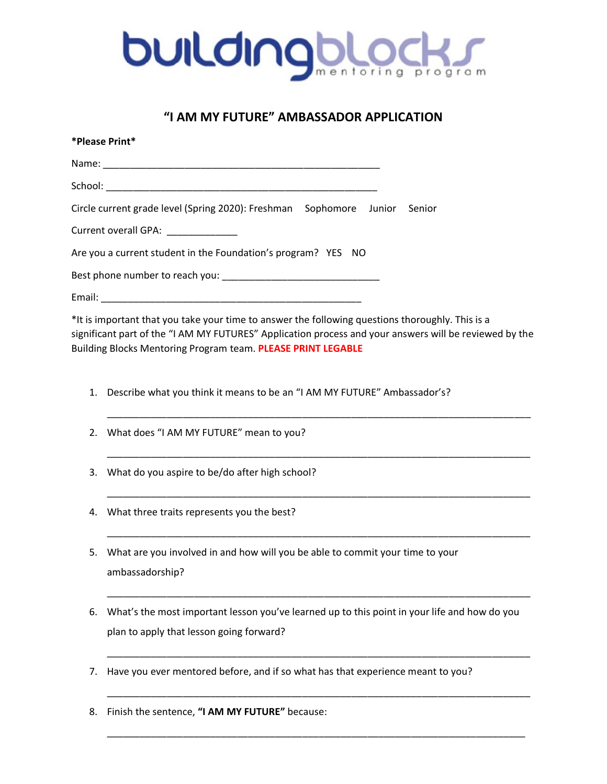

## **"I AM MY FUTURE" AMBASSADOR APPLICATION**

|    | *Please Print*                                                                                                                                                                                                                                                             |  |  |  |  |  |  |
|----|----------------------------------------------------------------------------------------------------------------------------------------------------------------------------------------------------------------------------------------------------------------------------|--|--|--|--|--|--|
|    | Name: Name:                                                                                                                                                                                                                                                                |  |  |  |  |  |  |
|    |                                                                                                                                                                                                                                                                            |  |  |  |  |  |  |
|    | Circle current grade level (Spring 2020): Freshman Sophomore Junior Senior                                                                                                                                                                                                 |  |  |  |  |  |  |
|    | Current overall GPA: __________                                                                                                                                                                                                                                            |  |  |  |  |  |  |
|    | Are you a current student in the Foundation's program? YES NO                                                                                                                                                                                                              |  |  |  |  |  |  |
|    |                                                                                                                                                                                                                                                                            |  |  |  |  |  |  |
|    |                                                                                                                                                                                                                                                                            |  |  |  |  |  |  |
|    | *It is important that you take your time to answer the following questions thoroughly. This is a<br>significant part of the "I AM MY FUTURES" Application process and your answers will be reviewed by the<br>Building Blocks Mentoring Program team. PLEASE PRINT LEGABLE |  |  |  |  |  |  |
| 1. | Describe what you think it means to be an "I AM MY FUTURE" Ambassador's?                                                                                                                                                                                                   |  |  |  |  |  |  |
| 2. | What does "I AM MY FUTURE" mean to you?                                                                                                                                                                                                                                    |  |  |  |  |  |  |
| 3. | What do you aspire to be/do after high school?                                                                                                                                                                                                                             |  |  |  |  |  |  |
| 4. | What three traits represents you the best?                                                                                                                                                                                                                                 |  |  |  |  |  |  |
| 5. | What are you involved in and how will you be able to commit your time to your<br>ambassadorship?                                                                                                                                                                           |  |  |  |  |  |  |
| 6. | What's the most important lesson you've learned up to this point in your life and how do you<br>plan to apply that lesson going forward?                                                                                                                                   |  |  |  |  |  |  |
| 7. | Have you ever mentored before, and if so what has that experience meant to you?                                                                                                                                                                                            |  |  |  |  |  |  |

\_\_\_\_\_\_\_\_\_\_\_\_\_\_\_\_\_\_\_\_\_\_\_\_\_\_\_\_\_\_\_\_\_\_\_\_\_\_\_\_\_\_\_\_\_\_\_\_\_\_\_\_\_\_\_\_\_\_\_\_\_\_\_\_\_\_\_\_\_\_\_\_\_\_\_\_\_

8. Finish the sentence, **"I AM MY FUTURE"** because: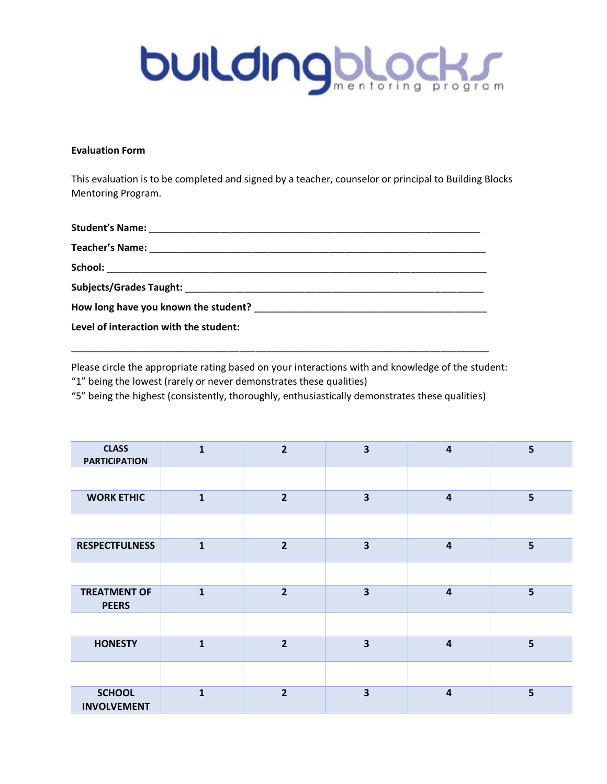

## **Evaluation Form**

This evaluation is to be completed and signed by a teacher, counselor or principal to Building Blocks Mentoring Program.

| Level of interaction with the student: |  |
|----------------------------------------|--|

Please circle the appropriate rating based on your interactions with and knowledge of the student: "1" being the lowest (rarely or never demonstrates these qualities)

"5" being the highest (consistently, thoroughly, enthusiastically demonstrates these qualities)

\_\_\_\_\_\_\_\_\_\_\_\_\_\_\_\_\_\_\_\_\_\_\_\_\_\_\_\_\_\_\_\_\_\_\_\_\_\_\_\_\_\_\_\_\_\_\_\_\_\_\_\_\_\_\_\_\_\_\_\_\_\_\_\_\_\_\_\_\_\_\_\_\_\_\_\_\_

| <b>CLASS</b><br><b>PARTICIPATION</b> | 1            | $\overline{2}$ | 3 | 4                       | 5 |
|--------------------------------------|--------------|----------------|---|-------------------------|---|
|                                      |              |                |   |                         |   |
| <b>WORK ETHIC</b>                    | $\mathbf{1}$ | $\overline{2}$ | 3 | $\overline{\mathbf{4}}$ | 5 |
|                                      |              |                |   |                         |   |
| <b>RESPECTFULNESS</b>                | $\mathbf{1}$ | $\overline{2}$ | 3 | $\overline{\mathbf{4}}$ | 5 |
|                                      |              |                |   |                         |   |
| <b>TREATMENT OF</b><br><b>PEERS</b>  | $\mathbf{1}$ | $\overline{2}$ | 3 | $\overline{\mathbf{4}}$ | 5 |
|                                      |              |                |   |                         |   |
| <b>HONESTY</b>                       | $\mathbf{1}$ | $\overline{2}$ | 3 | $\overline{\mathbf{4}}$ | 5 |
|                                      |              |                |   |                         |   |
| <b>SCHOOL</b><br><b>INVOLVEMENT</b>  | 1            | $\overline{2}$ | 3 | $\overline{\mathbf{4}}$ | 5 |